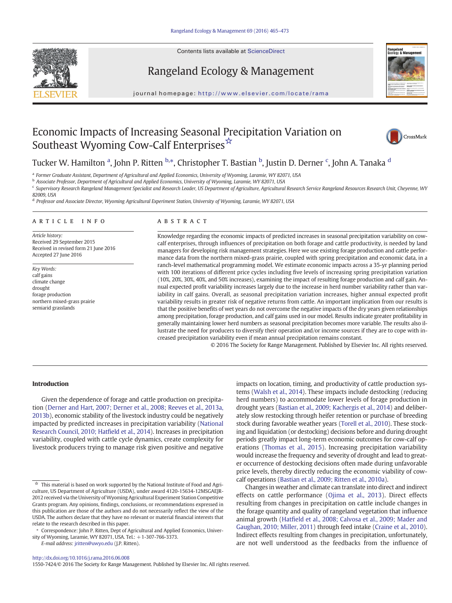Contents lists available at ScienceDirect

# Rangeland Ecology & Management



journal homepage: http://www.elsevier.com/locate/rama

# Economic Impacts of Increasing Seasonal Precipitation Variation on Southeast Wyoming Cow-Calf Enterprises☆



# Tucker W. Hamilton <sup>a</sup>, John P. Ritten <sup>b,</sup>\*, Christopher T. Bastian <sup>b</sup>, Justin D. Derner <sup>c</sup>, John A. Tanaka <sup>d</sup>

<sup>a</sup> Former Graduate Assistant, Department of Agricultural and Applied Economics, University of Wyoming, Laramie, WY 82071, USA

<sup>b</sup> Associate Professor, Department of Agricultural and Applied Economics, University of Wyoming, Laramie, WY 82071, USA

c Supervisory Research Rangeland Management Specialist and Research Leader, US Department of Agricultural, Agricultural Research Service Rangeland Resources Research Unit, Cheyenne, WY 82009, USA

<sup>d</sup> Professor and Associate Director, Wyoming Agricultural Experiment Station, University of Wyoming, Laramie, WY 82071, USA

#### article info abstract

Article history: Received 29 September 2015 Received in revised form 21 June 2016 Accepted 27 June 2016

Key Words: calf gains climate change drought forage production northern mixed-grass prairie semiarid grasslands

Knowledge regarding the economic impacts of predicted increases in seasonal precipitation variability on cowcalf enterprises, through influences of precipitation on both forage and cattle productivity, is needed by land managers for developing risk management strategies. Here we use existing forage production and cattle performance data from the northern mixed-grass prairie, coupled with spring precipitation and economic data, in a ranch-level mathematical programming model. We estimate economic impacts across a 35-yr planning period with 100 iterations of different price cycles including five levels of increasing spring precipitation variation (10%, 20%, 30%, 40%, and 50% increases), examining the impact of resulting forage production and calf gain. Annual expected profit variability increases largely due to the increase in herd number variability rather than variability in calf gains. Overall, as seasonal precipitation variation increases, higher annual expected profit variability results in greater risk of negative returns from cattle. An important implication from our results is that the positive benefits of wet years do not overcome the negative impacts of the dry years given relationships among precipitation, forage production, and calf gains used in our model. Results indicate greater profitability in generally maintaining lower herd numbers as seasonal precipitation becomes more variable. The results also illustrate the need for producers to diversify their operation and/or income sources if they are to cope with increased precipitation variability even if mean annual precipitation remains constant.

© 2016 The Society for Range Management. Published by Elsevier Inc. All rights reserved.

# Introduction

Given the dependence of forage and cattle production on precipitation ([Derner and Hart, 2007; Derner et al., 2008; Reeves et al., 2013a,](#page-7-0) [2013b\)](#page-7-0), economic stability of the livestock industry could be negatively impacted by predicted increases in precipitation variability ([National](#page-8-0) [Research Council, 2010; Hat](#page-8-0)field et al., 2014). Increases in precipitation variability, coupled with cattle cycle dynamics, create complexity for livestock producers trying to manage risk given positive and negative

E-mail address: [jritten@uwyo.edu](mailto:jritten@uwyo.edu) (J.P. Ritten).

impacts on location, timing, and productivity of cattle production systems ([Walsh et al., 2014](#page-8-0)). These impacts include destocking (reducing herd numbers) to accommodate lower levels of forage production in drought years ([Bastian et al., 2009; Kachergis et al., 2014](#page-7-0)) and deliberately slow restocking through heifer retention or purchase of breeding stock during favorable weather years [\(Torell et al., 2010\)](#page-8-0). These stocking and liquidation (or destocking) decisions before and during drought periods greatly impact long-term economic outcomes for cow-calf operations ([Thomas et al., 2015\)](#page-8-0). Increasing precipitation variability would increase the frequency and severity of drought and lead to greater occurrence of destocking decisions often made during unfavorable price levels, thereby directly reducing the economic viability of cowcalf operations [\(Bastian et al., 2009; Ritten et al., 2010a](#page-7-0)).

Changes in weather and climate can translate into direct and indirect effects on cattle performance [\(Ojima et al., 2013\)](#page-8-0). Direct effects resulting from changes in precipitation on cattle include changes in the forage quantity and quality of rangeland vegetation that influence animal growth (Hatfi[eld et al., 2008; Calvosa et al., 2009; Mader and](#page-8-0) [Gaughan, 2010; Miller, 2011\)](#page-8-0) through feed intake ([Craine et al., 2010](#page-7-0)). Indirect effects resulting from changes in precipitation, unfortunately, are not well understood as the feedbacks from the influence of

1550-7424/© 2016 The Society for Range Management. Published by Elsevier Inc. All rights reserved.

<sup>☆</sup> This material is based on work supported by the National Institute of Food and Agriculture, US Department of Agriculture (USDA), under award 4120-15634-12MSGAEJR-2012 received via the University of Wyoming Agricultural Experiment Station Competitive Grants program. Any opinions, findings, conclusions, or recommendations expressed in this publication are those of the authors and do not necessarily reflect the view of the USDA. The authors declare that they have no relevant or material financial interests that relate to the research described in this paper.

<sup>⁎</sup> Correspondence: John P. Ritten, Dept of Agricultural and Applied Economics, University of Wyoming, Laramie, WY 82071, USA. Tel.: +1-307-766-3373.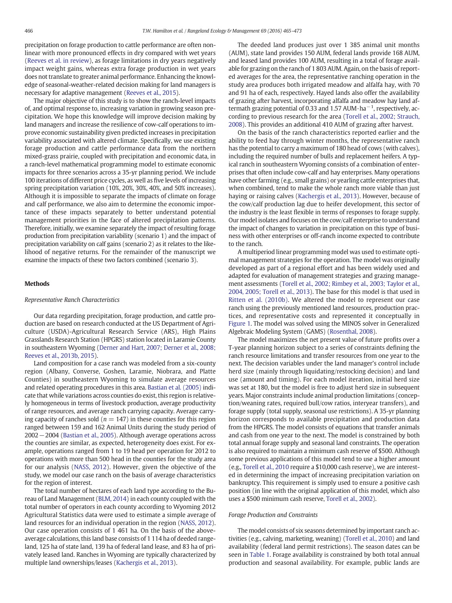precipitation on forage production to cattle performance are often nonlinear with more pronounced effects in dry compared with wet years ([Reeves et al. in review](#page-8-0)), as forage limitations in dry years negatively impact weight gains, whereas extra forage production in wet years does not translate to greater animal performance. Enhancing the knowledge of seasonal-weather-related decision making for land managers is necessary for adaptive management [\(Reeves et al., 2015](#page-8-0)).

The major objective of this study is to show the ranch-level impacts of, and optimal response to, increasing variation in growing season precipitation. We hope this knowledge will improve decision making by land managers and increase the resilience of cow-calf operations to improve economic sustainability given predicted increases in precipitation variability associated with altered climate. Specifically, we use existing forage production and cattle performance data from the northern mixed-grass prairie, coupled with precipitation and economic data, in a ranch-level mathematical programming model to estimate economic impacts for three scenarios across a 35-yr planning period. We include 100 iterations of different price cycles, as well as five levels of increasing spring precipitation variation (10%, 20%, 30%, 40%, and 50% increases). Although it is impossible to separate the impacts of climate on forage and calf performance, we also aim to determine the economic importance of these impacts separately to better understand potential management priorities in the face of altered precipitation patterns. Therefore, initially, we examine separately the impact of resulting forage production from precipitation variability (scenario 1) and the impact of precipitation variability on calf gains (scenario 2) as it relates to the likelihood of negative returns. For the remainder of the manuscript we examine the impacts of these two factors combined (scenario 3).

# Methods

# Representative Ranch Characteristics

Our data regarding precipitation, forage production, and cattle production are based on research conducted at the US Department of Agriculture (USDA)-Agricultural Research Service (ARS), High Plains Grasslands Research Station (HPGRS) station located in Laramie County in southeastern Wyoming ([Derner and Hart, 2007; Derner et al., 2008;](#page-7-0) [Reeves et al., 2013b, 2015\)](#page-7-0).

Land composition for a case ranch was modeled from a six-county region (Albany, Converse, Goshen, Laramie, Niobrara, and Platte Counties) in southeastern Wyoming to simulate average resources and related operating procedures in this area. [Bastian et al. \(2005\)](#page-7-0) indicate that while variations across counties do exist, this region is relatively homogeneous in terms of livestock production, average productivity of range resources, and average ranch carrying capacity. Average carrying capacity of ranches sold ( $n = 147$ ) in these counties for this region ranged between 159 and 162 Animal Units during the study period of 2002−2004 [\(Bastian et al., 2005\)](#page-7-0). Although average operations across the counties are similar, as expected, heterogeneity does exist. For example, operations ranged from 1 to 19 head per operation for 2012 to operations with more than 500 head in the counties for the study area for our analysis [\(NASS, 2012](#page-8-0)). However, given the objective of the study, we model our case ranch on the basis of average characteristics for the region of interest.

The total number of hectares of each land type according to the Bureau of Land Management [\(BLM, 2014](#page-7-0)) in each county coupled with the total number of operators in each county according to Wyoming 2012 Agricultural Statistics data were used to estimate a simple average of land resources for an individual operation in the region [\(NASS, 2012](#page-8-0)). Our case operation consists of 1 461 ha. On the basis of the aboveaverage calculations, this land base consists of 1 114 ha of deeded rangeland, 125 ha of state land, 139 ha of federal land lease, and 83 ha of privately leased land. Ranches in Wyoming are typically characterized by multiple land ownerships/leases ([Kachergis et al., 2013\)](#page-8-0).

The deeded land produces just over 1 385 animal unit months (AUM), state land provides 150 AUM, federal lands provide 168 AUM, and leased land provides 100 AUM, resulting in a total of forage available for grazing on the ranch of 1 803 AUM. Again, on the basis of reported averages for the area, the representative ranching operation in the study area produces both irrigated meadow and alfalfa hay, with 70 and 91 ha of each, respectively. Hayed lands also offer the availability of grazing after harvest, incorporating alfalfa and meadow hay land aftermath grazing potential of 0.33 and 1.57 AUM $\cdot$ ha $^{-1}$ , respectively, according to previous research for the area [\(Torell et al., 2002; Strauch,](#page-8-0) [2008](#page-8-0)). This provides an additional 410 AUM of grazing after harvest.

On the basis of the ranch characteristics reported earlier and the ability to feed hay through winter months, the representative ranch has the potential to carry a maximum of 180 head of cows (with calves), including the required number of bulls and replacement heifers. A typical ranch in southeastern Wyoming consists of a combination of enterprises that often include cow-calf and hay enterprises. Many operations have other farming (e.g., small grains) or yearling cattle enterprises that, when combined, tend to make the whole ranch more viable than just haying or raising calves ([Kachergis et al., 2013\)](#page-8-0). However, because of the cow/calf production lag due to heifer development, this sector of the industry is the least flexible in terms of responses to forage supply. Our model isolates and focuses on the cow/calf enterprise to understand the impact of changes to variation in precipitation on this type of business with other enterprises or off-ranch income expected to contribute to the ranch.

A multiperiod linear programming model was used to estimate optimal management strategies for the operation. The model was originally developed as part of a regional effort and has been widely used and adapted for evaluation of management strategies and grazing management assessments [\(Torell et al., 2002; Rimbey et al., 2003; Taylor et al.,](#page-8-0) [2004, 2005; Torell et al., 2013](#page-8-0)). The base for this model is that used in [Ritten et al. \(2010b\)](#page-8-0). We altered the model to represent our case ranch using the previously mentioned land resources, production practices, and representative costs and represented it conceptually in [Figure 1](#page-2-0). The model was solved using the MINOS solver in Generalized Algebraic Modeling System (GAMS) [\(Rosenthal, 2008](#page-8-0)).

The model maximizes the net present value of future profits over a T-year planning horizon subject to a series of constraints defining the ranch resource limitations and transfer resources from one year to the next. The decision variables under the land manager's control include herd size (mainly through liquidating/restocking decision) and land use (amount and timing). For each model iteration, initial herd size was set at 180, but the model is free to adjust herd size in subsequent years. Major constraints include animal production limitations (conception/weaning rates, required bull/cow ratios, interyear transfers), and forage supply (total supply, seasonal use restrictions). A 35-yr planning horizon corresponds to available precipitation and production data from the HPGRS. The model consists of equations that transfer animals and cash from one year to the next. The model is constrained by both total annual forage supply and seasonal land constraints. The operation is also required to maintain a minimum cash reserve of \$500. Although some previous applications of this model tend to use a higher amount (e.g., [Torell et al., 2010](#page-8-0) require a \$10,000 cash reserve), we are interested in determining the impact of increasing precipitation variation on bankruptcy. This requirement is simply used to ensure a positive cash position (in line with the original application of this model, which also uses a \$500 minimum cash reserve, [Torell et al., 2002\)](#page-8-0).

# Forage Production and Constraints

The model consists of six seasons determined by important ranch activities (e.g., calving, marketing, weaning) [\(Torell et al., 2010\)](#page-8-0) and land availability (federal land permit restrictions). The season dates can be seen in [Table 1](#page-2-0). Forage availability is constrained by both total annual production and seasonal availability. For example, public lands are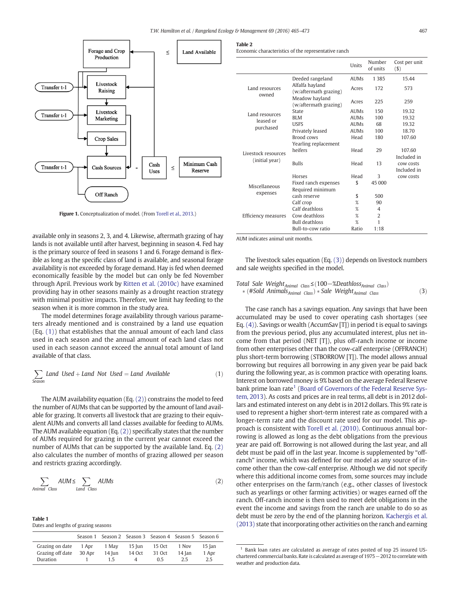<span id="page-2-0"></span>

Figure 1. Conceptualization of model. (From [Torell et al., 2013.](#page-8-0))

available only in seasons 2, 3, and 4. Likewise, aftermath grazing of hay lands is not available until after harvest, beginning in season 4. Fed hay is the primary source of feed in seasons 1 and 6. Forage demand is flexible as long as the specific class of land is available, and seasonal forage availability is not exceeded by forage demand. Hay is fed when deemed economically feasible by the model but can only be fed November through April. Previous work by [Ritten et al. \(2010c\)](#page-8-0) have examined providing hay in other seasons mainly as a drought reaction strategy with minimal positive impacts. Therefore, we limit hay feeding to the season when it is more common in the study area.

The model determines forage availability through various parameters already mentioned and is constrained by a land use equation  $(Eq. (1))$  that establishes that the annual amount of each land class used in each season and the annual amount of each land class not used in each season cannot exceed the annual total amount of land available of that class.

$$
\sum_{\text{Season}} \text{Land Used} + \text{Land Not Used} = \text{Land Available} \tag{1}
$$

The AUM availability equation (Eq. (2)) constrains the model to feed the number of AUMs that can be supported by the amount of land available for grazing. It converts all livestock that are grazing to their equivalent AUMs and converts all land classes available for feeding to AUMs. The AUM available equation (Eq. (2)) specifically states that the number of AUMs required for grazing in the current year cannot exceed the number of AUMs that can be supported by the available land. Eq. (2) also calculates the number of months of grazing allowed per season and restricts grazing accordingly.

$$
\sum_{Animal\ Class} AUM \le \sum_{Land\ Class} AUMs
$$
 (2)

| Table 1 |  |                                      |  |
|---------|--|--------------------------------------|--|
|         |  | Dates and lengths of grazing seasons |  |

|                                                 | Season 1        |                       |                       | Season 2 Season 3 Season 4 Season 5 Season 6 |                        |                          |
|-------------------------------------------------|-----------------|-----------------------|-----------------------|----------------------------------------------|------------------------|--------------------------|
| Grazing on date<br>Grazing off date<br>Duration | 1 Apr<br>30 Apr | 1 May<br>14 Jun<br>15 | 15 Iun<br>14 Oct<br>Δ | 15 Oct<br>31 Oct<br>05                       | 1 Nov<br>14 Ian<br>2.5 | $15$ Jan<br>1 Apr<br>2.5 |

Table 2

Economic characteristics of the representative ranch

|                     |                                          | Units              | Number<br>of units | Cost per unit<br>$($ \$ |
|---------------------|------------------------------------------|--------------------|--------------------|-------------------------|
|                     | Deeded rangeland                         | AI IM <sub>s</sub> | 1 3 8 5            | 1544                    |
| Land resources      | Alfalfa hayland<br>(w/aftermath grazing) | Acres              | 172                | 573                     |
| owned               | Meadow hayland<br>(w/aftermath grazing)  | Acres              | 225                | 259                     |
| Land resources      | State                                    | AI IM <sub>s</sub> | 150                | 19.32                   |
| leased or           | <b>BLM</b>                               | <b>AUMs</b>        | 100                | 19.32                   |
| purchased           | <b>USES</b>                              | AI IM <sub>s</sub> | 68                 | 19.32                   |
|                     | Privately leased                         | AI IM <sub>s</sub> | 100                | 18.70                   |
|                     | Brood cows                               | Head               | 180                | 107.60                  |
|                     | Yearling replacement                     |                    |                    |                         |
| Livestock resources | heifers                                  | Head               | 29                 | 107.60                  |
| (initial year)      | <b>Bulls</b>                             |                    |                    | Included in             |
|                     |                                          | Head               | 13                 | cow costs               |
|                     |                                          |                    |                    | Included in             |
|                     | Horses                                   | Head               | 3                  | cow costs               |
| Miscellaneous       | Fixed ranch expenses                     | \$                 | 45 000             |                         |
|                     | Required minimum                         |                    |                    |                         |
| expenses            | cash reserve                             | \$                 | 500                |                         |
|                     | Calf crop                                | %                  | 90                 |                         |
|                     | Calf deathloss                           | %                  | 4                  |                         |
| Efficiency measures | Cow deathloss                            | %                  | $\overline{2}$     |                         |
|                     | <b>Bull deathloss</b>                    | %                  | 1                  |                         |
|                     | Bull-to-cow ratio                        | Ratio              | 1:18               |                         |

AUM indicates animal unit months.

The livestock sales equation (Eq. (3)) depends on livestock numbers and sale weights specified in the model.

Total Sale WeightAnimal Class ≤ 100−%DeathlossAnimal Class ð Þ - #Sold AnimalsAnimal Class ð Þ-Sale WeightAnimal Class ð3Þ

The case ranch has a savings equation. Any savings that have been accumulated may be used to cover operating cash shortages (see Eq. [\(4\)](#page-3-0)). Savings or wealth (AccumSav [T]) in period t is equal to savings from the previous period, plus any accumulated interest, plus net income from that period (NET [T]), plus off-ranch income or income from other enterprises other than the cow-calf enterprise (OFFRANCH) plus short-term borrowing (STBORROW [T]). The model allows annual borrowing but requires all borrowing in any given year be paid back during the following year, as is common practice with operating loans. Interest on borrowed money is 9% based on the average Federal Reserve bank prime loan rate<sup>1</sup> [\(Board of Governors of the Federal Reserve Sys](#page-7-0)[tem, 2013](#page-7-0)). As costs and prices are in real terms, all debt is in 2012 dollars and estimated interest on any debt is in 2012 dollars. This 9% rate is used to represent a higher short-term interest rate as compared with a longer-term rate and the discount rate used for our model. This approach is consistent with [Torell et al. \(2010\).](#page-8-0) Continuous annual borrowing is allowed as long as the debt obligations from the previous year are paid off. Borrowing is not allowed during the last year, and all debt must be paid off in the last year. Income is supplemented by "offranch" income, which was defined for our model as any source of income other than the cow-calf enterprise. Although we did not specify where this additional income comes from, some sources may include other enterprises on the farm/ranch (e.g., other classes of livestock such as yearlings or other farming activities) or wages earned off the ranch. Off-ranch income is then used to meet debt obligations in the event the income and savings from the ranch are unable to do so as debt must be zero by the end of the planning horizon. [Kachergis et al.](#page-8-0) [\(2013\)](#page-8-0) state that incorporating other activities on the ranch and earning

 $1$  Bank loan rates are calculated as average of rates posted of top 25 insured USchartered commercial banks. Rate is calculated as average of 1975−2012 to correlate with weather and production data.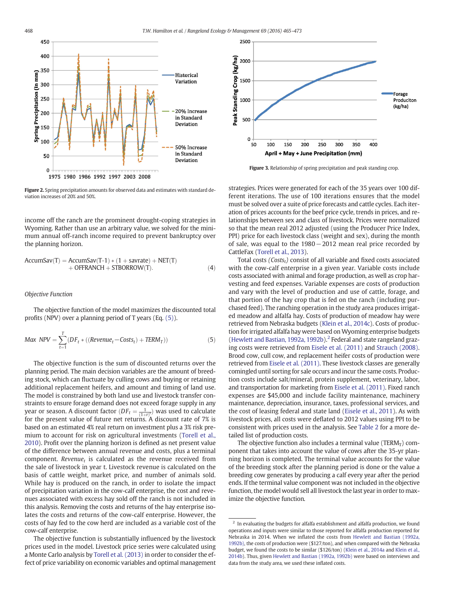<span id="page-3-0"></span>

Figure 2. Spring precipitation amounts for observed data and estimates with standard deviation increases of 20% and 50%.

income off the ranch are the prominent drought-coping strategies in Wyoming. Rather than use an arbitrary value, we solved for the minimum annual off-ranch income required to prevent bankruptcy over the planning horizon.

$$
AccumSav(T) = AccumSav(T-1) * (1 + savrate) + NET(T) + OFFRANCH + STBORROW(T).
$$
 (4)

Objective Function

The objective function of the model maximizes the discounted total profits (NPV) over a planning period of T years (Eq. (5)).

$$
Max NPV = \sum_{t=1}^{T} (DF_t * ((Revenue_t - Costs_t) + TERM_T))
$$
\n(5)

The objective function is the sum of discounted returns over the planning period. The main decision variables are the amount of breeding stock, which can fluctuate by culling cows and buying or retaining additional replacement heifers, and amount and timing of land use. The model is constrained by both land use and livestock transfer constraints to ensure forage demand does not exceed forage supply in any year or season. A discount factor  $(DF_t = \frac{1}{(1+r)^t})$  was used to calculate for the present value of future net returns. A discount rate of 7% is based on an estimated 4% real return on investment plus a 3% risk premium to account for risk on agricultural investments ([Torell et al.,](#page-8-0) [2010](#page-8-0)). Profit over the planning horizon is defined as net present value of the difference between annual revenue and costs, plus a terminal component. Revenue<sub>t</sub> is calculated as the revenue received from the sale of livestock in year t. Livestock revenue is calculated on the basis of cattle weight, market price, and number of animals sold. While hay is produced on the ranch, in order to isolate the impact of precipitation variation in the cow-calf enterprise, the cost and revenues associated with excess hay sold off the ranch is not included in this analysis. Removing the costs and returns of the hay enterprise isolates the costs and returns of the cow-calf enterprise. However, the costs of hay fed to the cow herd are included as a variable cost of the cow-calf enterprise.

The objective function is substantially influenced by the livestock prices used in the model. Livestock price series were calculated using a Monte Carlo analysis by [Torell et al. \(2013\)](#page-8-0) in order to consider the effect of price variability on economic variables and optimal management



Figure 3. Relationship of spring precipitation and peak standing crop.

strategies. Prices were generated for each of the 35 years over 100 different iterations. The use of 100 iterations ensures that the model must be solved over a suite of price forecasts and cattle cycles. Each iteration of prices accounts for the beef price cycle, trends in prices, and relationships between sex and class of livestock. Prices were normalized so that the mean real 2012 adjusted (using the Producer Price Index, PPI) price for each livestock class (weight and sex), during the month of sale, was equal to the 1980−2012 mean real price recorded by CattleFax ([Torell et al., 2013\)](#page-8-0).

Total costs ( $Costs_t$ ) consist of all variable and fixed costs associated with the cow-calf enterprise in a given year. Variable costs include costs associated with animal and forage production, as well as crop harvesting and feed expenses. Variable expenses are costs of production and vary with the level of production and use of cattle, forage, and that portion of the hay crop that is fed on the ranch (including purchased feed). The ranching operation in the study area produces irrigated meadow and alfalfa hay. Costs of production of meadow hay were retrieved from Nebraska budgets [\(Klein et al., 2014c](#page-8-0)). Costs of production for irrigated alfalfa hay were based on Wyoming enterprise budgets ([Hewlett and Bastian, 1992a, 1992b\)](#page-8-0). $^2$  Federal and state rangeland grazing costs were retrieved from [Eisele et al. \(2011\)](#page-8-0) and [Strauch \(2008\).](#page-8-0) Brood cow, cull cow, and replacement heifer costs of production were retrieved from [Eisele et al. \(2011\).](#page-8-0) These livestock classes are generally comingled until sorting for sale occurs and incur the same costs. Production costs include salt/mineral, protein supplement, veterinary, labor, and transportation for marketing from [Eisele et al. \(2011\).](#page-8-0) Fixed ranch expenses are \$45,000 and include facility maintenance, machinery maintenance, depreciation, insurance, taxes, professional services, and the cost of leasing federal and state land [\(Eisele et al., 2011](#page-8-0)). As with livestock prices, all costs were deflated to 2012 values using PPI to be consistent with prices used in the analysis. See [Table 2](#page-2-0) for a more detailed list of production costs.

The objective function also includes a terminal value (TERM $_T$ ) component that takes into account the value of cows after the 35-yr planning horizon is completed. The terminal value accounts for the value of the breeding stock after the planning period is done or the value a breeding cow generates by producing a calf every year after the period ends. If the terminal value component was not included in the objective function, the model would sell all livestock the last year in order to maximize the objective function.

 $^{\rm 2}$  In evaluating the budgets for alfalfa establishment and alfalfa production, we found operations and inputs were similar to those reported for alfalfa production reported for Nebraska in 2014. When we inflated the costs from [Hewlett and Bastian \(1992a,](#page-8-0) [1992b\),](#page-8-0) the costs of production were (\$127/ton), and when compared with the Nebraska budget, we found the costs to be similar (\$126/ton) [\(Klein et al., 2014a](#page-8-0) and [Klein et al.,](#page-8-0) [2014b](#page-8-0)). Thus, given [Hewlett and Bastian \(1992a, 1992b\)](#page-8-0) were based on interviews and data from the study area, we used these inflated costs.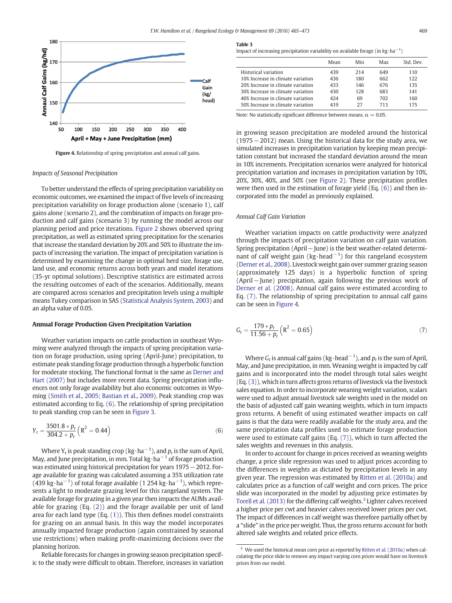<span id="page-4-0"></span>

Figure 4. Relationship of spring precipitation and annual calf gains.

#### Impacts of Seasonal Precipitation

To better understand the effects of spring precipitation variability on economic outcomes, we examined the impact of five levels of increasing precipitation variability on forage production alone (scenario 1), calf gains alone (scenario 2), and the combination of impacts on forage production and calf gains (scenario 3) by running the model across our planning period and price iterations. [Figure 2](#page-3-0) shows observed spring precipitation, as well as estimated spring precipitation for the scenarios that increase the standard deviation by 20% and 50% to illustrate the impacts of increasing the variation. The impact of precipitation variation is determined by examining the change in optimal herd size, forage use, land use, and economic returns across both years and model iterations (35-yr optimal solutions). Descriptive statistics are estimated across the resulting outcomes of each of the scenarios. Additionally, means are compared across scenarios and precipitation levels using a multiple means Tukey comparison in SAS [\(Statistical Analysis System, 2003](#page-8-0)) and an alpha value of 0.05.

#### Annual Forage Production Given Precipitation Variation

Weather variation impacts on cattle production in southeast Wyoming were analyzed through the impacts of spring precipitation variation on forage production, using spring (April-June) precipitation, to estimate peak standing forage production through a hyperbolic function for moderate stocking. The functional format is the same as [Derner and](#page-7-0) [Hart \(2007\)](#page-7-0) but includes more recent data. Spring precipitation influences not only forage availability but also economic outcomes in Wyoming ([Smith et al., 2005; Bastian et al., 2009\)](#page-8-0). Peak standing crop was estimated according to Eq. (6). The relationship of spring precipitation to peak standing crop can be seen in [Figure 3.](#page-3-0)

$$
Y_t = \frac{3501.8 \times p_t}{304.2 + p_t} \left( R^2 = 0.44 \right)
$$
 (6)

Where Y<sub>t</sub> is peak standing crop (kg $\cdot$  ha $^{-1}$ ), and  $p_t$  is the sum of April, May, and June precipitation, in mm. Total kg $\cdot$  ha<sup> $-1$ </sup> of forage production was estimated using historical precipitation for years 1975−2012. Forage available for grazing was calculated assuming a 35% utilization rate (439 kg·ha−<sup>1</sup> ) of total forage available (1 254 kg·ha−<sup>1</sup> ), which represents a light to moderate grazing level for this rangeland system. The available forage for grazing in a given year then impacts the AUMs available for grazing (Eq. [\(2\)](#page-2-0)) and the forage available per unit of land area for each land type (Eq. [\(1\)](#page-2-0)). This then defines model constraints for grazing on an annual basis. In this way the model incorporates annually impacted forage production (again constrained by seasonal use restrictions) when making profit-maximizing decisions over the planning horizon.

Reliable forecasts for changes in growing season precipitation specific to the study were difficult to obtain. Therefore, increases in variation

# Table 3

Impact of increasing precipitation variability on available forage (in kg $\cdot$ ha $^{-1}$ )

|                                   | Mean | Min | Max | Std Dev |
|-----------------------------------|------|-----|-----|---------|
| Historical variation              | 439  | 214 | 649 | 110     |
| 10% Increase in climate variation | 436  | 180 | 662 | 122     |
| 20% Increase in climate variation | 433  | 146 | 676 | 135     |
| 30% Increase in climate variation | 430  | 128 | 683 | 141     |
| 40% Increase in climate variation | 424  | 69  | 702 | 160     |
| 50% Increase in climate variation | 419  | 27  | 713 | 175     |

Note: No statistically significant difference between means.  $\alpha = 0.05$ .

in growing season precipitation are modeled around the historical (1975−2012) mean. Using the historical data for the study area, we simulated increases in precipitation variation by keeping mean precipitation constant but increased the standard deviation around the mean in 10% increments. Precipitation scenarios were analyzed for historical precipitation variation and increases in precipitation variation by 10%, 20%, 30%, 40%, and 50% (see [Figure 2\)](#page-3-0). These precipitation profiles were then used in the estimation of forage yield (Eq. (6)) and then incorporated into the model as previously explained.

# Annual Calf Gain Variation

Weather variation impacts on cattle productivity were analyzed through the impacts of precipitation variation on calf gain variation. Spring precipitation (April − June) is the best weather-related determinant of calf weight gain (kg·head<sup>-1</sup>) for this rangeland ecosystem [\(Derner et al., 2008\)](#page-8-0). Livestock weight gain over summer grazing season (approximately 125 days) is a hyperbolic function of spring (April−June) precipitation, again following the previous work of [Derner et al. \(2008\).](#page-8-0) Annual calf gains were estimated according to Eq. (7). The relationship of spring precipitation to annual calf gains can be seen in Figure 4.

$$
G_t = \frac{179 * p_t}{11.56 + p_t} \left( R^2 = 0.65 \right) \tag{7}
$$

Where  $G_t$  is annual calf gains (kg∙head $^{-1}$ ), and  $p_t$  is the sum of April, May, and June precipitation, in mm. Weaning weight is impacted by calf gains and is incorporated into the model through total sales weight (Eq. [\(3\)](#page-2-0)), which in turn affects gross returns of livestock via the livestock sales equation. In order to incorporate weaning weight variation, scalars were used to adjust annual livestock sale weights used in the model on the basis of adjusted calf gain weaning weights, which in turn impacts gross returns. A benefit of using estimated weather impacts on calf gains is that the data were readily available for the study area, and the same precipitation data profiles used to estimate forage production were used to estimate calf gains (Eq. (7)), which in turn affected the sales weights and revenues in this analysis.

In order to account for change in prices received as weaning weights change, a price slide regression was used to adjust prices according to the differences in weights as dictated by precipitation levels in any given year. The regression was estimated by [Ritten et al. \(2010a\)](#page-8-0) and calculates price as a function of calf weight and corn prices. The price slide was incorporated in the model by adjusting price estimates by Torell et al.  $(2013)$  for the differing calf weights.<sup>3</sup> Lighter calves received a higher price per cwt and heavier calves received lower prices per cwt. The impact of differences in calf weight was therefore partially offset by a "slide" in the price per weight. Thus, the gross returns account for both altered sale weights and related price effects.

 $3$  We used the historical mean corn price as reported by [Ritten et al. \(2010a\)](#page-8-0) when calculating the price slide to remove any impact varying corn prices would have on livestock prices from our model.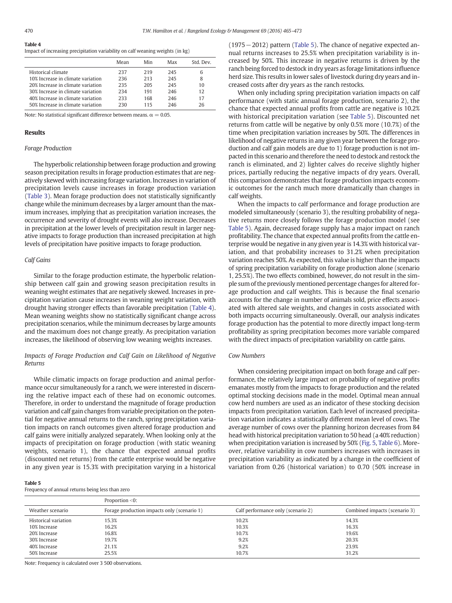# Table 4

Impact of increasing precipitation variability on calf weaning weights (in kg)

|                                   | Mean | Min | Max | Std Dev |
|-----------------------------------|------|-----|-----|---------|
| Historical climate                | 237  | 219 | 245 | 6       |
| 10% Increase in climate variation | 236  | 213 | 245 | 8       |
| 20% Increase in climate variation | 235  | 205 | 245 | 10      |
| 30% Increase in climate variation | 234  | 191 | 246 | 12      |
| 40% Increase in climate variation | 233  | 168 | 246 | 17      |
| 50% Increase in climate variation | 230  | 115 | 246 | 26      |

Note: No statistical significant difference between means.  $\alpha = 0.05$ .

#### Results

# Forage Production

The hyperbolic relationship between forage production and growing season precipitation results in forage production estimates that are negatively skewed with increasing forage variation. Increases in variation of precipitation levels cause increases in forage production variation ([Table 3\)](#page-4-0). Mean forage production does not statistically significantly change while the minimum decreases by a larger amount than the maximum increases, implying that as precipitation variation increases, the occurrence and severity of drought events will also increase. Decreases in precipitation at the lower levels of precipitation result in larger negative impacts to forage production than increased precipitation at high levels of precipitation have positive impacts to forage production.

# Calf Gains

Similar to the forage production estimate, the hyperbolic relationship between calf gain and growing season precipitation results in weaning weight estimates that are negatively skewed. Increases in precipitation variation cause increases in weaning weight variation, with drought having stronger effects than favorable precipitation (Table 4). Mean weaning weights show no statistically significant change across precipitation scenarios, while the minimum decreases by large amounts and the maximum does not change greatly. As precipitation variation increases, the likelihood of observing low weaning weights increases.

# Impacts of Forage Production and Calf Gain on Likelihood of Negative Returns

While climatic impacts on forage production and animal performance occur simultaneously for a ranch, we were interested in discerning the relative impact each of these had on economic outcomes. Therefore, in order to understand the magnitude of forage production variation and calf gain changes from variable precipitation on the potential for negative annual returns to the ranch, spring precipitation variation impacts on ranch outcomes given altered forage production and calf gains were initially analyzed separately. When looking only at the impacts of precipitation on forage production (with static weaning weights, scenario 1), the chance that expected annual profits (discounted net returns) from the cattle enterprise would be negative in any given year is 15.3% with precipitation varying in a historical

Frequency of annual returns being less than zero

(1975−2012) pattern (Table 5). The chance of negative expected annual returns increases to 25.5% when precipitation variability is increased by 50%. This increase in negative returns is driven by the ranch being forced to destock in dry years as forage limitations influence herd size. This results in lower sales of livestock during dry years and increased costs after dry years as the ranch restocks.

When only including spring precipitation variation impacts on calf performance (with static annual forage production, scenario 2), the chance that expected annual profits from cattle are negative is 10.2% with historical precipitation variation (see Table 5). Discounted net returns from cattle will be negative by only 0.5% more (10.7%) of the time when precipitation variation increases by 50%. The differences in likelihood of negative returns in any given year between the forage production and calf gain models are due to 1) forage production is not impacted in this scenario and therefore the need to destock and restock the ranch is eliminated, and 2) lighter calves do receive slightly higher prices, partially reducing the negative impacts of dry years. Overall, this comparison demonstrates that forage production impacts economic outcomes for the ranch much more dramatically than changes in calf weights.

When the impacts to calf performance and forage production are modeled simultaneously (scenario 3), the resulting probability of negative returns more closely follows the forage production model (see Table 5). Again, decreased forage supply has a major impact on ranch profitability. The chance that expected annual profits from the cattle enterprise would be negative in any given year is 14.3% with historical variation, and that probability increases to 31.2% when precipitation variation reaches 50%. As expected, this value is higher than the impacts of spring precipitation variability on forage production alone (scenario 1, 25.5%). The two effects combined, however, do not result in the simple sum of the previously mentioned percentage changes for altered forage production and calf weights. This is because the final scenario accounts for the change in number of animals sold, price effects associated with altered sale weights, and changes in costs associated with both impacts occurring simultaneously. Overall, our analysis indicates forage production has the potential to more directly impact long-term profitability as spring precipitation becomes more variable compared with the direct impacts of precipitation variability on cattle gains.

# Cow Numbers

When considering precipitation impact on both forage and calf performance, the relatively large impact on probability of negative profits emanates mostly from the impacts to forage production and the related optimal stocking decisions made in the model. Optimal mean annual cow herd numbers are used as an indicator of these stocking decision impacts from precipitation variation. Each level of increased precipitation variation indicates a statistically different mean level of cows. The average number of cows over the planning horizon decreases from 84 head with historical precipitation variation to 50 head (a 40% reduction) when precipitation variation is increased by 50% [\(Fig. 5,](#page-6-0) [Table 6](#page-6-0)). Moreover, relative variability in cow numbers increases with increases in precipitation variability as indicated by a change in the coefficient of variation from 0.26 (historical variation) to 0.70 (50% increase in

| Proportion $<$ 0:                           |                                    |                               |
|---------------------------------------------|------------------------------------|-------------------------------|
| Forage production impacts only (scenario 1) | Calf performance only (scenario 2) | Combined impacts (scenario 3) |
| 15.3%                                       | 10.2%                              | 14.3%                         |
| 16.2%                                       | 10.3%                              | 16.3%                         |
| 16.8%                                       | 10.7%                              | 19.6%                         |
| 19.7%                                       | 9.2%                               | 20.3%                         |
| 21.1%                                       | 9.2%                               | 23.9%                         |
| 25.5%                                       | 10.7%                              | 31.2%                         |
|                                             |                                    |                               |

Note: Frequency is calculated over 3 500 observations.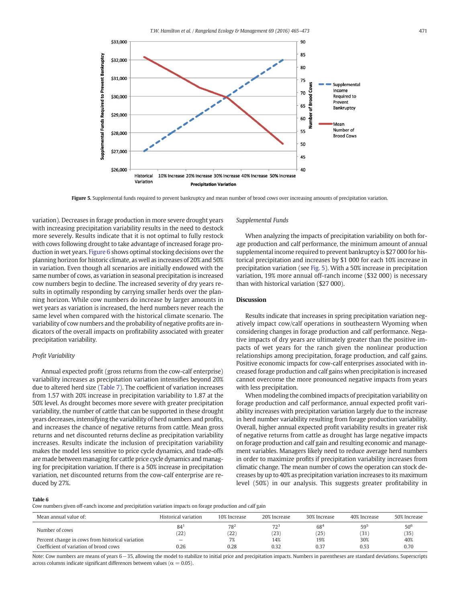<span id="page-6-0"></span>

Figure 5. Supplemental funds required to prevent bankruptcy and mean number of brood cows over increasing amounts of precipitation variation.

variation). Decreases in forage production in more severe drought years with increasing precipitation variability results in the need to destock more severely. Results indicate that it is not optimal to fully restock with cows following drought to take advantage of increased forage production in wet years. [Figure 6](#page-7-0) shows optimal stocking decisions over the planning horizon for historic climate, as well as increases of 20% and 50% in variation. Even though all scenarios are initially endowed with the same number of cows, as variation in seasonal precipitation is increased cow numbers begin to decline. The increased severity of dry years results in optimally responding by carrying smaller herds over the planning horizon. While cow numbers do increase by larger amounts in wet years as variation is increased, the herd numbers never reach the same level when compared with the historical climate scenario. The variability of cow numbers and the probability of negative profits are indicators of the overall impacts on profitability associated with greater precipitation variability.

# Profit Variability

Annual expected profit (gross returns from the cow-calf enterprise) variability increases as precipitation variation intensifies beyond 20% due to altered herd size ([Table 7](#page-7-0)). The coefficient of variation increases from 1.57 with 20% increase in precipitation variability to 1.87 at the 50% level. As drought becomes more severe with greater precipitation variability, the number of cattle that can be supported in these drought years decreases, intensifying the variability of herd numbers and profits, and increases the chance of negative returns from cattle. Mean gross returns and net discounted returns decline as precipitation variability increases. Results indicate the inclusion of precipitation variability makes the model less sensitive to price cycle dynamics, and trade-offs are made between managing for cattle price cycle dynamics and managing for precipitation variation. If there is a 50% increase in precipitation variation, net discounted returns from the cow-calf enterprise are reduced by 27%.

#### Table 6

Cow numbers given off-ranch income and precipitation variation impacts on forage production and calf gain

| Mean annual value of:                            | Historical variation | 10% Increase            | 20% Increase   | 30% Increase            | 40% Increase    | 50% Increase    |
|--------------------------------------------------|----------------------|-------------------------|----------------|-------------------------|-----------------|-----------------|
| Number of cows                                   | $84^{1}$<br>(22)     | 78 <sup>2</sup><br>(22) | $72^3$<br>(23) | 68 <sup>4</sup><br>(25) | $59^{5}$<br>(31 | $50^{6}$<br>35) |
| Percent change in cows from historical variation | —                    | 7%                      | 14%            | 19%                     | 30%             | 40%             |
| Coefficient of variation of brood cows           | 0.26                 | 0.28                    | 0.32           | 0.37                    | 0.53            | 0.70            |

Note: Cow numbers are means of years 6−35, allowing the model to stabilize to initial price and precipitation impacts. Numbers in parentheses are standard deviations. Superscripts across columns indicate significant differences between values ( $\alpha = 0.05$ ).

#### Supplemental Funds

When analyzing the impacts of precipitation variability on both forage production and calf performance, the minimum amount of annual supplemental income required to prevent bankruptcy is \$27 000 for historical precipitation and increases by \$1 000 for each 10% increase in precipitation variation (see Fig. 5). With a 50% increase in precipitation variation, 19% more annual off-ranch income (\$32 000) is necessary than with historical variation (\$27 000).

# **Discussion**

Results indicate that increases in spring precipitation variation negatively impact cow/calf operations in southeastern Wyoming when considering changes in forage production and calf performance. Negative impacts of dry years are ultimately greater than the positive impacts of wet years for the ranch given the nonlinear production relationships among precipitation, forage production, and calf gains. Positive economic impacts for cow-calf enterprises associated with increased forage production and calf gains when precipitation is increased cannot overcome the more pronounced negative impacts from years with less precipitation.

When modeling the combined impacts of precipitation variability on forage production and calf performance, annual expected profit variability increases with precipitation variation largely due to the increase in herd number variability resulting from forage production variability. Overall, higher annual expected profit variability results in greater risk of negative returns from cattle as drought has large negative impacts on forage production and calf gain and resulting economic and management variables. Managers likely need to reduce average herd numbers in order to maximize profits if precipitation variability increases from climatic change. The mean number of cows the operation can stock decreases by up to 40% as precipitation variation increases to its maximum level (50%) in our analysis. This suggests greater profitability in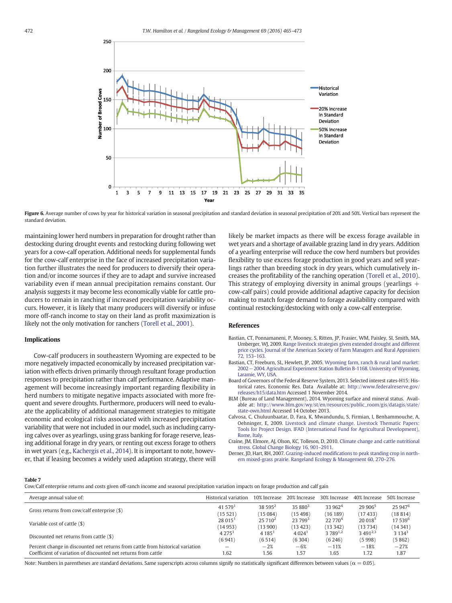<span id="page-7-0"></span>

Figure 6. Average number of cows by year for historical variation in seasonal precipitation and standard deviation in seasonal precipitation of 20% and 50%. Vertical bars represent the standard deviation.

maintaining lower herd numbers in preparation for drought rather than destocking during drought events and restocking during following wet years for a cow-calf operation. Additional needs for supplemental funds for the cow-calf enterprise in the face of increased precipitation variation further illustrates the need for producers to diversify their operation and/or income sources if they are to adapt and survive increased variability even if mean annual precipitation remains constant. Our analysis suggests it may become less economically viable for cattle producers to remain in ranching if increased precipitation variability occurs. However, it is likely that many producers will diversify or infuse more off-ranch income to stay on their land as profit maximization is likely not the only motivation for ranchers ([Torell et al., 2001\)](#page-8-0).

# Implications

Cow-calf producers in southeastern Wyoming are expected to be more negatively impacted economically by increased precipitation variation with effects driven primarily through resultant forage production responses to precipitation rather than calf performance. Adaptive management will become increasingly important regarding flexibility in herd numbers to mitigate negative impacts associated with more frequent and severe droughts. Furthermore, producers will need to evaluate the applicability of additional management strategies to mitigate economic and ecological risks associated with increased precipitation variability that were not included in our model, such as including carrying calves over as yearlings, using grass banking for forage reserve, leasing additional forage in dry years, or renting out excess forage to others in wet years (e.g., [Kachergis et al., 2014](#page-8-0)). It is important to note, however, that if leasing becomes a widely used adaption strategy, there will

likely be market impacts as there will be excess forage available in wet years and a shortage of available grazing land in dry years. Addition of a yearling enterprise will reduce the cow herd numbers but provides flexibility to use excess forage production in good years and sell yearlings rather than breeding stock in dry years, which cumulatively increases the profitability of the ranching operation [\(Torell et al., 2010](#page-8-0)). This strategy of employing diversity in animal groups (yearlings  $+$ cow-calf pairs) could provide additional adaptive capacity for decision making to match forage demand to forage availability compared with continual restocking/destocking with only a cow-calf enterprise.

# References

- Bastian, CT, Ponnamaneni, P, Mooney, S, Ritten, JP, Frasier, WM, Paisley, SI, Smith, MA, Umberger, WJ, 2009. [Range livestock strategies given extended drought and different](http://refhub.elsevier.com/S1550-7424(16)30045-8/rf0005) [price cycles. Journal of the American Society of Farm Managers and Rural Appraisers](http://refhub.elsevier.com/S1550-7424(16)30045-8/rf0005) [72, 153](http://refhub.elsevier.com/S1550-7424(16)30045-8/rf0005)–163.
- Bastian, CT, Freeburn, SL, Hewlett, JP, 2005. [Wyoming farm, ranch & rural land market:](http://refhub.elsevier.com/S1550-7424(16)30045-8/rf0010) [2002](http://refhub.elsevier.com/S1550-7424(16)30045-8/rf0010)−[2004. Agricultural Experiment Station Bulletin B-1168. University of Wyoming,](http://refhub.elsevier.com/S1550-7424(16)30045-8/rf0010) [Laramie, WY, USA](http://refhub.elsevier.com/S1550-7424(16)30045-8/rf0010).
- Board of Governors of the Federal Reserve System, 2013. Selected interest rates-H15: Historical rates. Economic Res. Data Available at: [http://www.federalreserve.gov/](http://www.federalreserve.gov/releases/h15/data.htm) [releases/h15/data.htm](http://www.federalreserve.gov/releases/h15/data.htm) Accessed 1 November 2014.
- BLM (Bureau of Land Management), 2014. Wyoming surface and mineral status. Available at: [http://www.blm.gov/wy/st/en/resources/public\\_room/gis/datagis/state/](http://www.blm.gov/wy/st/en/resources/public_room/gis/datagis/state/state-own.html) [state-own.html](http://www.blm.gov/wy/st/en/resources/public_room/gis/datagis/state/state-own.html) Accessed 14 October 2013.
- Calvosa, C, Chuluunbaatar, D, Fara, K, Mwandundu, S, Firmian, I, Benhammouche, A, Oehninger, E, 2009. [Livestock and climate change. Livestock Thematic Papers:](http://refhub.elsevier.com/S1550-7424(16)30045-8/rf0025) [Tools for Project Design. IFAD \(International Fund for Agricultural Development\),](http://refhub.elsevier.com/S1550-7424(16)30045-8/rf0025) [Rome, Italy](http://refhub.elsevier.com/S1550-7424(16)30045-8/rf0025).
- Craine, JM, Elmore, AJ, Olson, KC, Tolleson, D, 2010. [Climate change and cattle nutritional](http://refhub.elsevier.com/S1550-7424(16)30045-8/rf0035) [stress. Global Change Biology 16, 901](http://refhub.elsevier.com/S1550-7424(16)30045-8/rf0035)–2911.
- Derner, JD, Hart, RH, 2007. Grazing-induced modifi[cations to peak standing crop in north](http://refhub.elsevier.com/S1550-7424(16)30045-8/rf0040)[ern mixed-grass prairie. Rangeland Ecology & Management 60, 270](http://refhub.elsevier.com/S1550-7424(16)30045-8/rf0040)–276.

Table 7

Cow/Calf enterprise returns and costs given off-ranch income and seasonal precipitation variation impacts on forage production and calf gain

| Average annual value of:                                                       | Historical variation | 10% Increase        | 20% Increase        | 30% Increase        | 40% Increase        | 50% Increase        |
|--------------------------------------------------------------------------------|----------------------|---------------------|---------------------|---------------------|---------------------|---------------------|
| Gross returns from cow/calf enterprise $(\$)$                                  | 41.579 <sup>1</sup>  | $38.595^2$          | $35880^3$           | 33 962 <sup>4</sup> | 29 906 <sup>5</sup> | $25.947^6$          |
|                                                                                | (15521)              | (15084)             | (15 498)            | (16189)             | (17433)             | (18814)             |
| Variable cost of cattle (\$)                                                   | 28015 <sup>1</sup>   | 25 710 <sup>2</sup> | 23 799 <sup>3</sup> | 22 770 <sup>4</sup> | 20 018 <sup>5</sup> | 17 539 <sup>6</sup> |
|                                                                                | (14953)              | (13900)             | (13 423)            | (13342)             | (13734)             | (14341)             |
| Discounted net returns from cattle (\$)                                        | 4275 <sup>1</sup>    | 4.185 <sup>1</sup>  | 4024 <sup>1</sup>   | $3789^{1,2}$        | $3491^{2,3}$        | $3134^3$            |
|                                                                                | (6941)               | (6514)              | (6304)              | (6246)              | (5998)              | (5862)              |
| Percent change in discounted net returns from cattle from historical variation | —                    | $-2%$               | $-6%$               | $-11%$              | $-18%$              | $-27%$              |
| Coefficient of variation of discounted net returns from cattle                 | 1.62                 | 1.56                | 1.57                | 1.65                | 1.72                | 1.87                |

Note: Numbers in parentheses are standard deviations. Same superscripts across columns signify no statistically significant differences between values ( $\alpha$  = 0.05).